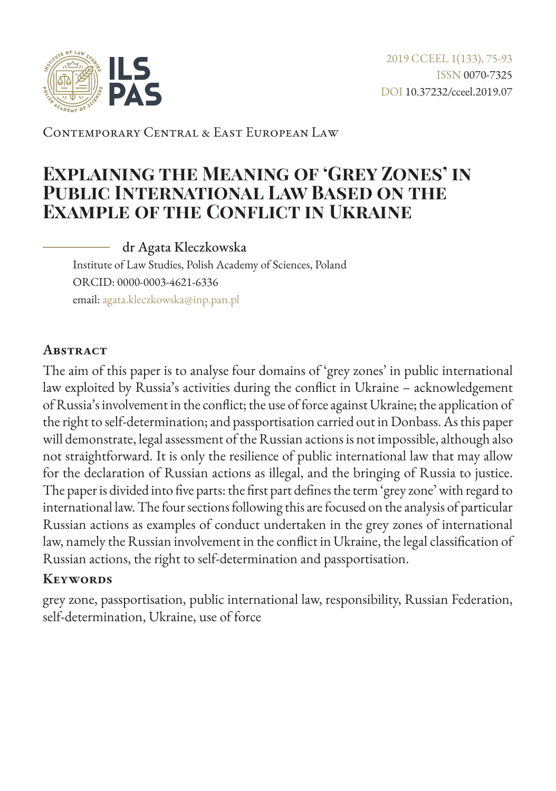

Contemporary Central & East European Law

# **Explaining the Meaning of 'Grey Zones' in Public International Law Based on the Example of the Conflict in Ukraine**

dr Agata Kleczkowska Institute of Law Studies, Polish Academy of Sciences, Poland ORCID: 0000-0003-4621-6336 email: [agata.kleczkowska@inp.pan.pl](mailto:agata.kleczkowska%40inp.pan.pl?subject=)

#### **Abstract**

The aim of this paper is to analyse four domains of 'grey zones' in public international law exploited by Russia's activities during the conflict in Ukraine – acknowledgement of Russia's involvement in the conflict; the use of force against Ukraine; the application of the right to self-determination; and passportisation carried out in Donbass. As this paper will demonstrate, legal assessment of the Russian actions is not impossible, although also not straightforward. It is only the resilience of public international law that may allow for the declaration of Russian actions as illegal, and the bringing of Russia to justice. The paper is divided into five parts: the first part defines the term 'grey zone' with regard to international law. The four sections following this are focused on the analysis of particular Russian actions as examples of conduct undertaken in the grey zones of international law, namely the Russian involvement in the conflict in Ukraine, the legal classification of Russian actions, the right to self-determination and passportisation.

#### **Keywords**

grey zone, passportisation, public international law, responsibility, Russian Federation, self-determination, Ukraine, use of force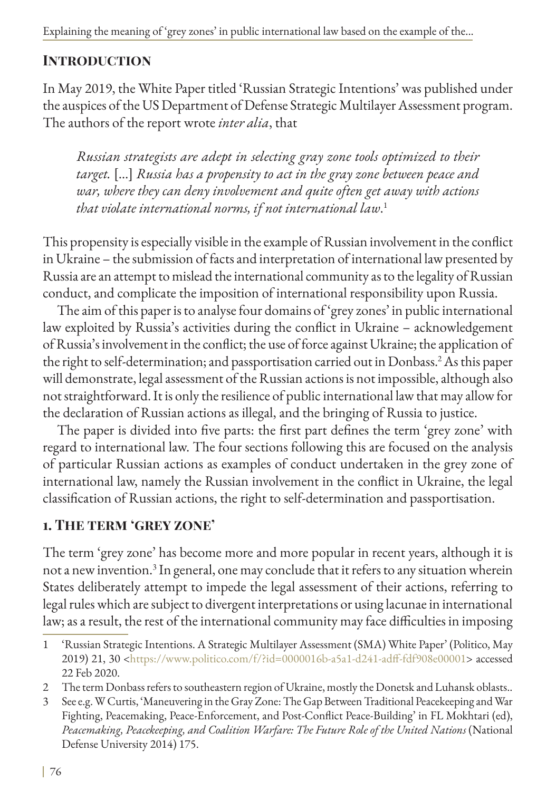# **Introduction**

In May 2019, the White Paper titled 'Russian Strategic Intentions' was published under the auspices of the US Department of Defense Strategic Multilayer Assessment program. The authors of the report wrote *inter alia*, that

*Russian strategists are adept in selecting gray zone tools optimized to their target.* […] *Russia has a propensity to act in the gray zone between peace and war, where they can deny involvement and quite often get away with actions that violate international norms, if not international law*. 1

This propensity is especially visible in the example of Russian involvement in the conflict in Ukraine – the submission of facts and interpretation of international law presented by Russia are an attempt to mislead the international community as to the legality of Russian conduct, and complicate the imposition of international responsibility upon Russia.

The aim of this paper is to analyse four domains of 'grey zones' in public international law exploited by Russia's activities during the conflict in Ukraine – acknowledgement of Russia's involvement in the conflict; the use of force against Ukraine; the application of the right to self-determination; and passportisation carried out in Donbass.2 As this paper will demonstrate, legal assessment of the Russian actions is not impossible, although also not straightforward. It is only the resilience of public international law that may allow for the declaration of Russian actions as illegal, and the bringing of Russia to justice.

The paper is divided into five parts: the first part defines the term 'grey zone' with regard to international law. The four sections following this are focused on the analysis of particular Russian actions as examples of conduct undertaken in the grey zone of international law, namely the Russian involvement in the conflict in Ukraine, the legal classification of Russian actions, the right to self-determination and passportisation.

# **1. The term 'grey zone'**

The term 'grey zone' has become more and more popular in recent years, although it is not a new invention.3 In general, one may conclude that it refers to any situation wherein States deliberately attempt to impede the legal assessment of their actions, referring to legal rules which are subject to divergent interpretations or using lacunae in international law; as a result, the rest of the international community may face difficulties in imposing

<sup>1</sup> 'Russian Strategic Intentions. A Strategic Multilayer Assessment (SMA) White Paper' (Politico, May 2019) 21, 30 [<https://www.politico.com/f/?id=0000016b-a5a1-d241-adff-fdf908e00001](https://www.politico.com/f/?id=0000016b-a5a1-d241-adff-fdf908e00001)> accessed 22 Feb 2020.

<sup>2</sup> The term Donbass refers to southeastern region of Ukraine, mostly the Donetsk and Luhansk oblasts..

<sup>3</sup> See e.g. W Curtis, 'Maneuvering in the Gray Zone: The Gap Between Traditional Peacekeeping and War Fighting, Peacemaking, Peace-Enforcement, and Post-Conflict Peace-Building' in FL Mokhtari (ed), *Peacemaking, Peacekeeping, and Coalition Warfare: The Future Role of the United Nations* (National Defense University 2014) 175.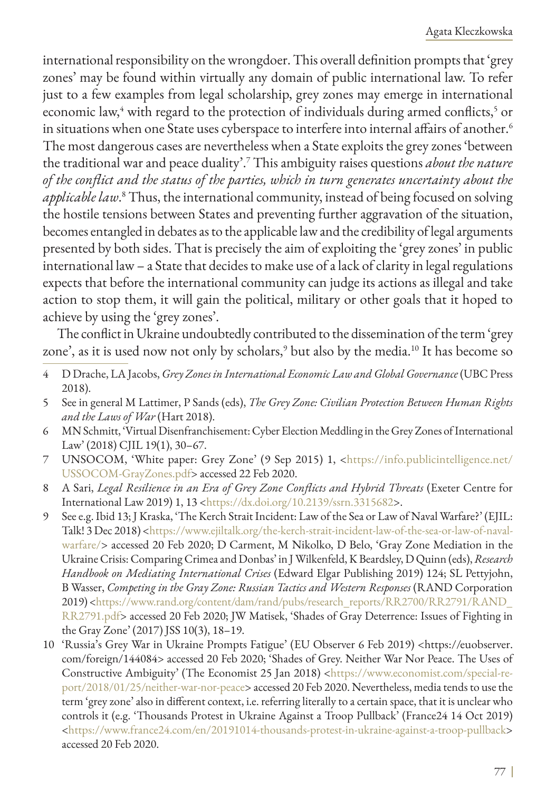international responsibility on the wrongdoer. This overall definition prompts that 'grey zones' may be found within virtually any domain of public international law. To refer just to a few examples from legal scholarship, grey zones may emerge in international economic law, $^4$  with regard to the protection of individuals during armed conflicts, $^5$  or in situations when one State uses cyberspace to interfere into internal affairs of another.<sup>6</sup> The most dangerous cases are nevertheless when a State exploits the grey zones 'between the traditional war and peace duality'.7 This ambiguity raises questions *about the nature of the conflict and the status of the parties, which in turn generates uncertainty about the applicable law*.8 Thus, the international community, instead of being focused on solving the hostile tensions between States and preventing further aggravation of the situation, becomes entangled in debates as to the applicable law and the credibility of legal arguments presented by both sides. That is precisely the aim of exploiting the 'grey zones' in public international law – a State that decides to make use of a lack of clarity in legal regulations expects that before the international community can judge its actions as illegal and take action to stop them, it will gain the political, military or other goals that it hoped to achieve by using the 'grey zones'.

The conflict in Ukraine undoubtedly contributed to the dissemination of the term 'grey zone', as it is used now not only by scholars, $^9$  but also by the media. $^{10}$  It has become so

- 4 D Drache, LA Jacobs, *Grey Zones in International Economic Law and Global Governance* (UBC Press 2018).
- 5 See in general M Lattimer, P Sands (eds), *The Grey Zone: Civilian Protection Between Human Rights and the Laws of War* (Hart 2018).
- 6 MN Schmitt, 'Virtual Disenfranchisement: Cyber Election Meddling in the Grey Zones of International Law' (2018) CJIL 19(1), 30–67.
- 7 UNSOCOM, 'White paper: Grey Zone' (9 Sep 2015) 1, <[https://info.publicintelligence.net/](https://info.publicintelligence.net/USSOCOM-GrayZones.pdf) [USSOCOM-GrayZones.pdf>](https://info.publicintelligence.net/USSOCOM-GrayZones.pdf) accessed 22 Feb 2020.
- 8 A Sari, *Legal Resilience in an Era of Grey Zone Conflicts and Hybrid Threats* (Exeter Centre for International Law 2019) 1, 13 <<https://dx.doi.org/10.2139/ssrn.3315682>>.
- 9 See e.g. Ibid 13; J Kraska, 'The Kerch Strait Incident: Law of the Sea or Law of Naval Warfare?' (EJIL: Talk! 3 Dec 2018) <[https://www.ejiltalk.org/the-kerch-strait-incident-law-of-the-sea-or-law-of-naval](https://www.ejiltalk.org/the-kerch-strait-incident-law-of-the-sea-or-law-of-naval-warfare/)[warfare/](https://www.ejiltalk.org/the-kerch-strait-incident-law-of-the-sea-or-law-of-naval-warfare/)> accessed 20 Feb 2020; D Carment, M Nikolko, D Belo, 'Gray Zone Mediation in the Ukraine Crisis: Comparing Crimea and Donbas' in J Wilkenfeld, K Beardsley, D Quinn (eds), *Research Handbook on Mediating International Crises* (Edward Elgar Publishing 2019) 124; SL Pettyjohn, B Wasser, *Competing in the Gray Zone: Russian Tactics and Western Responses* (RAND Corporation 2019) <[https://www.rand.org/content/dam/rand/pubs/research\\_reports/RR2700/RR2791/RAND\\_](https://www.rand.org/content/dam/rand/pubs/research_reports/RR2700/RR2791/RAND_RR2791.pdf) [RR2791.pdf](https://www.rand.org/content/dam/rand/pubs/research_reports/RR2700/RR2791/RAND_RR2791.pdf)> accessed 20 Feb 2020; JW Matisek, 'Shades of Gray Deterrence: Issues of Fighting in the Gray Zone' (2017) JSS 10(3), 18–19.
- 10 'Russia's Grey War in Ukraine Prompts Fatigue' (EU Observer 6 Feb 2019) <https://euobserver. com/foreign/144084> accessed 20 Feb 2020; 'Shades of Grey. Neither War Nor Peace. The Uses of Constructive Ambiguity' (The Economist 25 Jan 2018) [<https://www.economist.com/special-re](https://www.economist.com/special-report/2018/01/25/neither-war-nor-peace)[port/2018/01/25/neither-war-nor-peace](https://www.economist.com/special-report/2018/01/25/neither-war-nor-peace)> accessed 20 Feb 2020. Nevertheless, media tends to use the term 'grey zone' also in different context, i.e. referring literally to a certain space, that it is unclear who controls it (e.g. 'Thousands Protest in Ukraine Against a Troop Pullback' (France24 14 Oct 2019) <<https://www.france24.com/en/20191014-thousands-protest-in-ukraine-against-a-troop-pullback>> accessed 20 Feb 2020.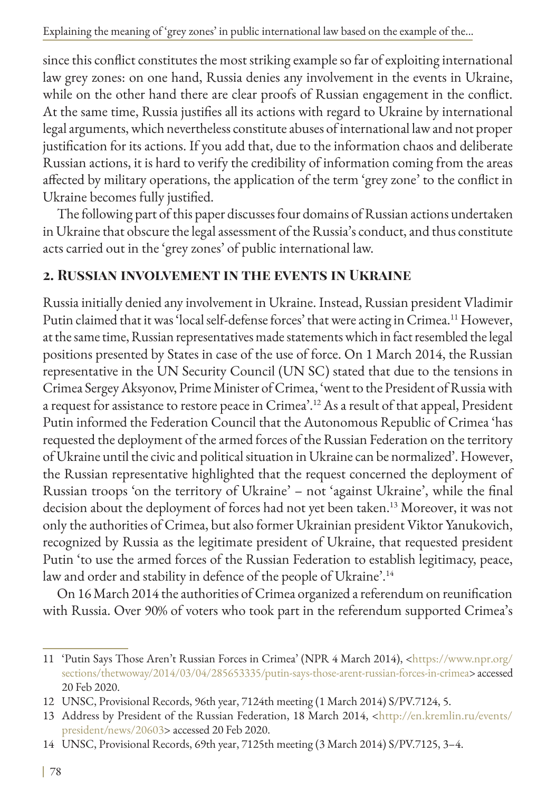since this conflict constitutes the most striking example so far of exploiting international law grey zones: on one hand, Russia denies any involvement in the events in Ukraine, while on the other hand there are clear proofs of Russian engagement in the conflict. At the same time, Russia justifies all its actions with regard to Ukraine by international legal arguments, which nevertheless constitute abuses of international law and not proper justification for its actions. If you add that, due to the information chaos and deliberate Russian actions, it is hard to verify the credibility of information coming from the areas affected by military operations, the application of the term 'grey zone' to the conflict in Ukraine becomes fully justified.

The following part of this paper discusses four domains of Russian actions undertaken in Ukraine that obscure the legal assessment of the Russia's conduct, and thus constitute acts carried out in the 'grey zones' of public international law.

### **2. Russian involvement in the events in Ukraine**

Russia initially denied any involvement in Ukraine. Instead, Russian president Vladimir Putin claimed that it was 'local self-defense forces' that were acting in Crimea.<sup>11</sup> However, at the same time, Russian representatives made statements which in fact resembled the legal positions presented by States in case of the use of force. On 1 March 2014, the Russian representative in the UN Security Council (UN SC) stated that due to the tensions in Crimea Sergey Aksyonov, Prime Minister of Crimea, 'went to the President of Russia with a request for assistance to restore peace in Crimea'.12 As a result of that appeal, President Putin informed the Federation Council that the Autonomous Republic of Crimea 'has requested the deployment of the armed forces of the Russian Federation on the territory of Ukraine until the civic and political situation in Ukraine can be normalized'. However, the Russian representative highlighted that the request concerned the deployment of Russian troops 'on the territory of Ukraine' – not 'against Ukraine', while the final decision about the deployment of forces had not yet been taken.13 Moreover, it was not only the authorities of Crimea, but also former Ukrainian president Viktor Yanukovich, recognized by Russia as the legitimate president of Ukraine, that requested president Putin 'to use the armed forces of the Russian Federation to establish legitimacy, peace, law and order and stability in defence of the people of Ukraine'.<sup>14</sup>

On 16 March 2014 the authorities of Crimea organized a referendum on reunification with Russia. Over 90% of voters who took part in the referendum supported Crimea's

<sup>11</sup> 'Putin Says Those Aren't Russian Forces in Crimea' (NPR 4 March 2014), [<https://www.npr.org/](https://www.npr.org/sections/thetwoway/2014/03/04/285653335/putin-says-those-arent-russian-forces-in) [sections/thetwoway/2014/03/04/285653335/putin-says-those-arent-russian-forces-in-crimea>](https://www.npr.org/sections/thetwoway/2014/03/04/285653335/putin-says-those-arent-russian-forces-in) accessed 20 Feb 2020.

<sup>12</sup> UNSC, Provisional Records, 96th year, 7124th meeting (1 March 2014) S/PV.7124, 5.

<sup>13</sup> Address by President of the Russian Federation, 18 March 2014, <[http://en.kremlin.ru/events/](http://en.kremlin.ru/events/president/news/20603) [president/news/20603](http://en.kremlin.ru/events/president/news/20603)> accessed 20 Feb 2020.

<sup>14</sup> UNSC, Provisional Records, 69th year, 7125th meeting (3 March 2014) S/PV.7125, 3–4.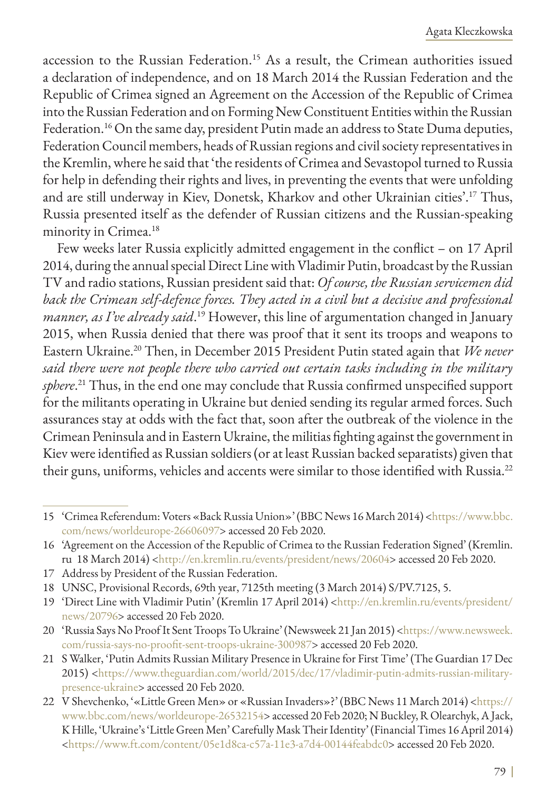accession to the Russian Federation.<sup>15</sup> As a result, the Crimean authorities issued a declaration of independence, and on 18 March 2014 the Russian Federation and the Republic of Crimea signed an Agreement on the Accession of the Republic of Crimea into the Russian Federation and on Forming New Constituent Entities within the Russian Federation.<sup>16</sup> On the same day, president Putin made an address to State Duma deputies, Federation Council members, heads of Russian regions and civil society representatives in the Kremlin, where he said that 'the residents of Crimea and Sevastopol turned to Russia for help in defending their rights and lives, in preventing the events that were unfolding and are still underway in Kiev, Donetsk, Kharkov and other Ukrainian cities'.17 Thus, Russia presented itself as the defender of Russian citizens and the Russian-speaking minority in Crimea.<sup>18</sup>

Few weeks later Russia explicitly admitted engagement in the conflict – on 17 April 2014, during the annual special Direct Line with Vladimir Putin, broadcast by the Russian TV and radio stations, Russian president said that: *Of course, the Russian servicemen did*  back the Crimean self-defence forces. They acted in a civil but a decisive and professional *manner, as I've already said*. <sup>19</sup> However, this line of argumentation changed in January 2015, when Russia denied that there was proof that it sent its troops and weapons to Eastern Ukraine.20 Then, in December 2015 President Putin stated again that *We never said there were not people there who carried out certain tasks including in the military sphere*. 21 Thus, in the end one may conclude that Russia confirmed unspecified support for the militants operating in Ukraine but denied sending its regular armed forces. Such assurances stay at odds with the fact that, soon after the outbreak of the violence in the Crimean Peninsula and in Eastern Ukraine, the militias fighting against the government in Kiev were identified as Russian soldiers (or at least Russian backed separatists) given that their guns, uniforms, vehicles and accents were similar to those identified with Russia.<sup>22</sup>

<sup>15</sup> 'Crimea Referendum: Voters «Back Russia Union»' (BBC News 16 March 2014) <[https://www.bbc.](https://www.bbc.com/news/worldeurope‐26606097) [com/news/worldeurope‐26606097>](https://www.bbc.com/news/worldeurope‐26606097) accessed 20 Feb 2020.

<sup>16</sup> 'Agreement on the Accession of the Republic of Crimea to the Russian Federation Signed' (Kremlin. ru 18 March 2014) <[http://en.kremlin.ru/events/president/news/20604>](http://en.kremlin.ru/events/president/news/20604) accessed 20 Feb 2020.

<sup>17</sup> Address by President of the Russian Federation.

<sup>18</sup> UNSC, Provisional Records, 69th year, 7125th meeting (3 March 2014) S/PV.7125, 5.

<sup>19</sup> 'Direct Line with Vladimir Putin' (Kremlin 17 April 2014) <[http://en.kremlin.ru/events/president/](http://en.kremlin.ru/events/president/news/20796) [news/20796](http://en.kremlin.ru/events/president/news/20796)> accessed 20 Feb 2020.

<sup>20</sup> 'Russia Says No Proof It Sent Troops To Ukraine' (Newsweek 21 Jan 2015) [<https://www.newsweek.](https://www.newsweek.com/russia-says-no-proofit-sent-troops-ukraine-300987) [com/russia-says-no-proofit-sent-troops-ukraine-300987](https://www.newsweek.com/russia-says-no-proofit-sent-troops-ukraine-300987)> accessed 20 Feb 2020.

<sup>21</sup> S Walker, 'Putin Admits Russian Military Presence in Ukraine for First Time' (The Guardian 17 Dec 2015) <[https://www.theguardian.com/world/2015/dec/17/vladimir-putin-admits-russian-military](https://www.theguardian.com/world/2015/dec/17/vladimir-putin-admits-russian-military-presence-ukrain)[presence-ukraine](https://www.theguardian.com/world/2015/dec/17/vladimir-putin-admits-russian-military-presence-ukrain)> accessed 20 Feb 2020.

<sup>22</sup> V Shevchenko, '«Little Green Men» or «Russian Invaders»?' (BBC News 11 March 2014) [<https://](https://www.bbc.com/news/worldeurope-26532154) [www.bbc.com/news/worldeurope-26532154](https://www.bbc.com/news/worldeurope-26532154)> accessed 20 Feb 2020; N Buckley, R Olearchyk, A Jack, K Hille, 'Ukraine's 'Little Green Men' Carefully Mask Their Identity' (Financial Times 16 April 2014) <[https://www.ft.com/content/05e1d8ca-c57a-11e3-a7d4-00144feabdc0>](https://www.ft.com/content/05e1d8ca-c57a-11e3-a7d4-00144feabdc0) accessed 20 Feb 2020.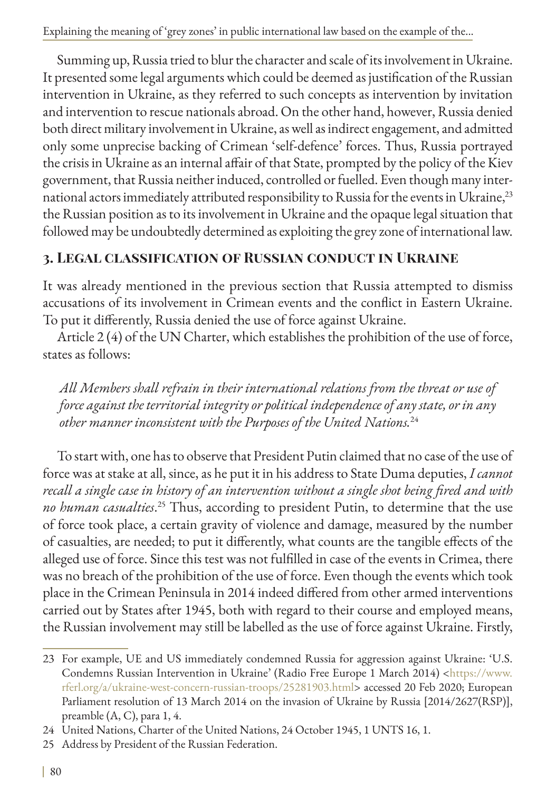Summing up, Russia tried to blur the character and scale of its involvement in Ukraine. It presented some legal arguments which could be deemed as justification of the Russian intervention in Ukraine, as they referred to such concepts as intervention by invitation and intervention to rescue nationals abroad. On the other hand, however, Russia denied both direct military involvement in Ukraine, as well as indirect engagement, and admitted only some unprecise backing of Crimean 'self-defence' forces. Thus, Russia portrayed the crisis in Ukraine as an internal affair of that State, prompted by the policy of the Kiev government, that Russia neither induced, controlled or fuelled. Even though many international actors immediately attributed responsibility to Russia for the events in Ukraine,<sup>23</sup> the Russian position as to its involvement in Ukraine and the opaque legal situation that followed may be undoubtedly determined as exploiting the grey zone of international law.

# **3. Legal classification of Russian conduct in Ukraine**

It was already mentioned in the previous section that Russia attempted to dismiss accusations of its involvement in Crimean events and the conflict in Eastern Ukraine. To put it differently, Russia denied the use of force against Ukraine.

Article 2 (4) of the UN Charter, which establishes the prohibition of the use of force, states as follows:

*All Members shall refrain in their international relations from the threat or use of force against the territorial integrity or political independence of any state, or in any other manner inconsistent with the Purposes of the United Nations.*<sup>24</sup>

To start with, one has to observe that President Putin claimed that no case of the use of force was at stake at all, since, as he put it in his address to State Duma deputies, *I cannot recall a single case in history of an intervention without a single shot being fired and with no human casualties*. 25 Thus, according to president Putin, to determine that the use of force took place, a certain gravity of violence and damage, measured by the number of casualties, are needed; to put it differently, what counts are the tangible effects of the alleged use of force. Since this test was not fulfilled in case of the events in Crimea, there was no breach of the prohibition of the use of force. Even though the events which took place in the Crimean Peninsula in 2014 indeed differed from other armed interventions carried out by States after 1945, both with regard to their course and employed means, the Russian involvement may still be labelled as the use of force against Ukraine. Firstly,

<sup>23</sup> For example, UE and US immediately condemned Russia for aggression against Ukraine: 'U.S. Condemns Russian Intervention in Ukraine' (Radio Free Europe 1 March 2014) <[https://www.](https://www.rferl.org/a/ukraine-west-concern-russian-troops/25281903.html) [rferl.org/a/ukraine-west-concern-russian-troops/25281903.html](https://www.rferl.org/a/ukraine-west-concern-russian-troops/25281903.html)> accessed 20 Feb 2020; European Parliament resolution of 13 March 2014 on the invasion of Ukraine by Russia [2014/2627(RSP)], preamble (A, C), para 1, 4.

<sup>24</sup> United Nations, Charter of the United Nations, 24 October 1945, 1 UNTS 16, 1.

<sup>25</sup> Address by President of the Russian Federation.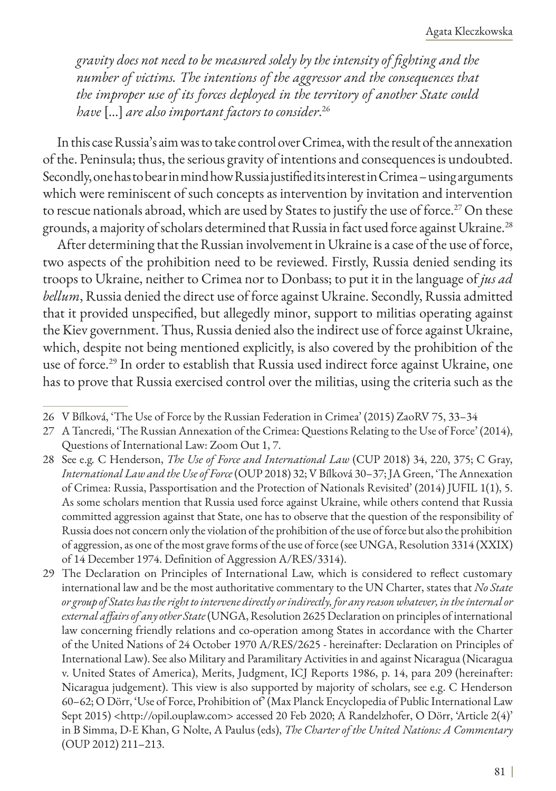*gravity does not need to be measured solely by the intensity of fighting and the number of victims. The intentions of the aggressor and the consequences that the improper use of its forces deployed in the territory of another State could have* […] *are also important factors to consider*. 26

In this case Russia's aim was to take control over Crimea, with the result of the annexation of the. Peninsula; thus, the serious gravity of intentions and consequences is undoubted. Secondly, one has to bear in mind how Russia justified its interest in Crimea – using arguments which were reminiscent of such concepts as intervention by invitation and intervention to rescue nationals abroad, which are used by States to justify the use of force.<sup>27</sup> On these grounds, a majority of scholars determined that Russia in fact used force against Ukraine.28

After determining that the Russian involvement in Ukraine is a case of the use of force, two aspects of the prohibition need to be reviewed. Firstly, Russia denied sending its troops to Ukraine, neither to Crimea nor to Donbass; to put it in the language of *jus ad bellum*, Russia denied the direct use of force against Ukraine. Secondly, Russia admitted that it provided unspecified, but allegedly minor, support to militias operating against the Kiev government. Thus, Russia denied also the indirect use of force against Ukraine, which, despite not being mentioned explicitly, is also covered by the prohibition of the use of force.<sup>29</sup> In order to establish that Russia used indirect force against Ukraine, one has to prove that Russia exercised control over the militias, using the criteria such as the

29 The Declaration on Principles of International Law, which is considered to reflect customary international law and be the most authoritative commentary to the UN Charter, states that *No State or group of States has the right to intervene directly or indirectly, for any reason whatever, in the internal or external affairs of any other State* (UNGA, Resolution 2625 Declaration on principles of international law concerning friendly relations and co-operation among States in accordance with the Charter of the United Nations of 24 October 1970 A/RES/2625 - hereinafter: Declaration on Principles of International Law). See also Military and Paramilitary Activities in and against Nicaragua (Nicaragua v. United States of America), Merits, Judgment, ICJ Reports 1986, p. 14, para 209 (hereinafter: Nicaragua judgement). This view is also supported by majority of scholars, see e.g. C Henderson 60–62; O Dörr, 'Use of Force, Prohibition of' (Max Planck Encyclopedia of Public International Law Sept 2015) <http://opil.ouplaw.com> accessed 20 Feb 2020; A Randelzhofer, O Dörr, 'Article 2(4)' in B Simma, D-E Khan, G Nolte, A Paulus (eds), *The Charter of the United Nations: A Commentary* (OUP 2012) 211–213.

<sup>26</sup> V Bílková, 'The Use of Force by the Russian Federation in Crimea' (2015) ZaoRV 75, 33–34

<sup>27</sup> A Tancredi, 'The Russian Annexation of the Crimea: Questions Relating to the Use of Force' (2014), Questions of International Law: Zoom Out 1, 7.

<sup>28</sup> See e.g*.* C Henderson, *The Use of Force and International Law* (CUP 2018) 34, 220, 375; C Gray, *International Law and the Use of Force* (OUP 2018) 32; V Bílková 30–37; JA Green, 'The Annexation of Crimea: Russia, Passportisation and the Protection of Nationals Revisited' (2014) JUFIL 1(1), 5. As some scholars mention that Russia used force against Ukraine, while others contend that Russia committed aggression against that State, one has to observe that the question of the responsibility of Russia does not concern only the violation of the prohibition of the use of force but also the prohibition of aggression, as one of the most grave forms of the use of force (see UNGA, Resolution 3314 (XXIX) of 14 December 1974. Definition of Aggression A/RES/3314).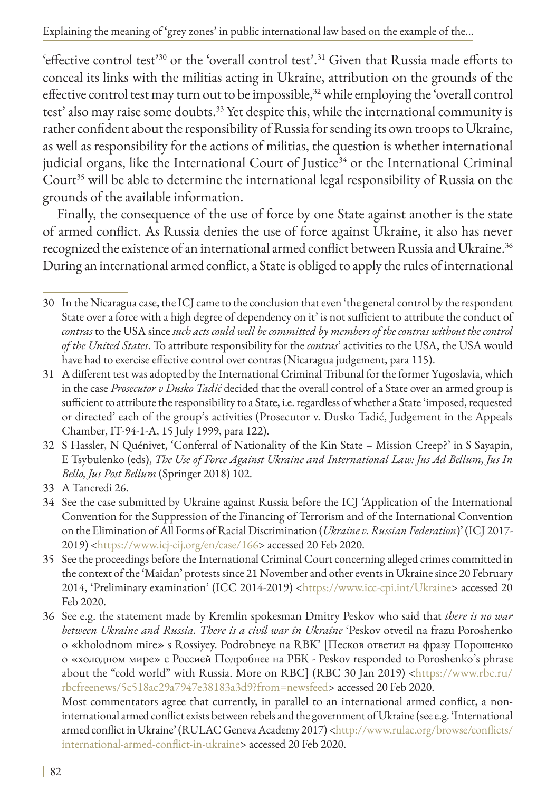'effective control test'30 or the 'overall control test'.31 Given that Russia made efforts to conceal its links with the militias acting in Ukraine, attribution on the grounds of the effective control test may turn out to be impossible,<sup>32</sup> while employing the 'overall control test' also may raise some doubts.<sup>33</sup> Yet despite this, while the international community is rather confident about the responsibility of Russia for sending its own troops to Ukraine, as well as responsibility for the actions of militias, the question is whether international judicial organs, like the International Court of Justice<sup>34</sup> or the International Criminal Court<sup>35</sup> will be able to determine the international legal responsibility of Russia on the grounds of the available information.

Finally, the consequence of the use of force by one State against another is the state of armed conflict. As Russia denies the use of force against Ukraine, it also has never recognized the existence of an international armed conflict between Russia and Ukraine.<sup>36</sup> During an international armed conflict, a State is obliged to apply the rules of international

<sup>30</sup> In the Nicaragua case, the ICJ came to the conclusion that even 'the general control by the respondent State over a force with a high degree of dependency on it' is not sufficient to attribute the conduct of *contras* to the USA since *such acts could well be committed by members of the contras without the control of the United States*. To attribute responsibility for the *contras*' activities to the USA, the USA would have had to exercise effective control over contras (Nicaragua judgement, para 115).

<sup>31</sup> A different test was adopted by the International Criminal Tribunal for the former Yugoslavia, which in the case *Prosecutor v Dusko Tadić* decided that the overall control of a State over an armed group is sufficient to attribute the responsibility to a State, i.e. regardless of whether a State 'imposed, requested or directed' each of the group's activities (Prosecutor v. Dusko Tadić, Judgement in the Appeals Chamber, IT-94-1-A, 15 July 1999, para 122).

<sup>32</sup> S Hassler, N Quénivet, 'Conferral of Nationality of the Kin State – Mission Creep?' in S Sayapin, E Tsybulenko (eds), *The Use of Force Against Ukraine and International Law: Jus Ad Bellum, Jus In Bello, Jus Post Bellum* (Springer 2018) 102.

<sup>33</sup> A Tancredi 26.

<sup>34</sup> See the case submitted by Ukraine against Russia before the ICJ 'Application of the International Convention for the Suppression of the Financing of Terrorism and of the International Convention on the Elimination of All Forms of Racial Discrimination (*Ukraine v. Russian Federation*)' (ICJ 2017- 2019) <[https://www.icj-cij.org/en/case/166>](https://www.icj-cij.org/en/case/166) accessed 20 Feb 2020.

<sup>35</sup> Seethe proceedings before the International Criminal Court concerning alleged crimes committed in the context of the 'Maidan' protests since 21 November and other events in Ukraine since 20 February 2014, 'Preliminary examination' (ICC 2014-2019) <[https://www.icc-cpi.int/Ukraine>](https://www.icc-cpi.int/Ukraine) accessed 20 Feb 2020.

<sup>36</sup> See e.g. the statement made by Kremlin spokesman Dmitry Peskov who said that *there is no war between Ukraine and Russia. There is a civil war in Ukraine* 'Peskov otvetil na frazu Poroshenko o «kholodnom mire» s Rossiyey. Podrobneye na RBK' [Песков ответил на фразу Порошенко о «холодном мире» с Россией Подробнее на РБК - Peskov responded to Poroshenko's phrase about the "cold world" with Russia. More on RBC] (RBC 30 Jan 2019) <[https://www.rbc.ru/](https://www.rbc.ru/rbcfreenews/5c518ac29a7947e38183a3d9?from=newsfeed) [rbcfreenews/5c518ac29a7947e38183a3d9?from=newsfeed](https://www.rbc.ru/rbcfreenews/5c518ac29a7947e38183a3d9?from=newsfeed)> accessed 20 Feb 2020.

Most commentators agree that currently, in parallel to an international armed conflict, a noninternational armed conflict exists between rebels and the government of Ukraine (see e.g. 'International armed conflict in Ukraine' (RULAC Geneva Academy 2017) [<http://www.rulac.org/browse/conflicts/](http://www.rulac.org/browse/conflicts/international-armed-conflict-in-ukraine) [international-armed-conflict-in-ukraine>](http://www.rulac.org/browse/conflicts/international-armed-conflict-in-ukraine) accessed 20 Feb 2020.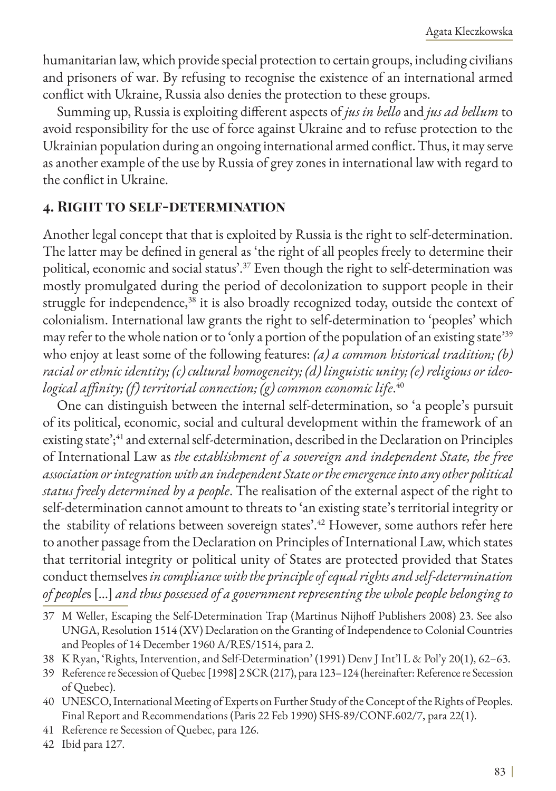humanitarian law, which provide special protection to certain groups, including civilians and prisoners of war. By refusing to recognise the existence of an international armed conflict with Ukraine, Russia also denies the protection to these groups.

Summing up, Russia is exploiting different aspects of *jus in bello* and *jus ad bellum* to avoid responsibility for the use of force against Ukraine and to refuse protection to the Ukrainian population during an ongoing international armed conflict. Thus, it may serve as another example of the use by Russia of grey zones in international law with regard to the conflict in Ukraine.

#### **4. Right to self-determination**

Another legal concept that that is exploited by Russia is the right to self-determination. The latter may be defined in general as 'the right of all peoples freely to determine their political, economic and social status'.37 Even though the right to self-determination was mostly promulgated during the period of decolonization to support people in their struggle for independence,<sup>38</sup> it is also broadly recognized today, outside the context of colonialism. International law grants the right to self-determination to 'peoples' which may refer to the whole nation or to 'only a portion of the population of an existing state'39 who enjoy at least some of the following features: *(a) a common historical tradition; (b) racial or ethnic identity; (c) cultural homogeneity; (d) linguistic unity; (e) religious or ideological affinity; (f) territorial connection; (g) common economic life*. 40

One can distinguish between the internal self-determination, so 'a people's pursuit of its political, economic, social and cultural development within the framework of an existing state';<sup>41</sup> and external self-determination, described in the Declaration on Principles of International Law as *the establishment of a sovereign and independent State, the free association or integration with an independent State or the emergence into any other political status freely determined by a people*. The realisation of the external aspect of the right to self-determination cannot amount to threats to 'an existing state's territorial integrity or the stability of relations between sovereign states'.<sup>42</sup> However, some authors refer here to another passage from the Declaration on Principles of International Law, which states that territorial integrity or political unity of States are protected provided that States conduct themselves *in compliance with the principle of equal rights and self-determination of people*s […] *and thus possessed of a government representing the whole people belonging to* 

- 37 M Weller, Escaping the Self-Determination Trap (Martinus Nijhoff Publishers 2008) 23. See also UNGA, Resolution 1514 (XV) Declaration on the Granting of Independence to Colonial Countries and Peoples of 14 December 1960 A/RES/1514, para 2.
- 38 K Ryan, 'Rights, Intervention, and Self-Determination' (1991) Denv J Int'l L & Pol'y 20(1), 62–63.
- 39 Reference re Secession of Quebec [1998] 2 SCR (217), para 123–124 (hereinafter: Reference re Secession of Quebec).
- 40 UNESCO, International Meeting of Experts on Further Study of the Concept of the Rights of Peoples. Final Report and Recommendations (Paris 22 Feb 1990) SHS-89/CONF.602/7, para 22(1).
- 41 Reference re Secession of Quebec, para 126.
- 42 Ibid para 127.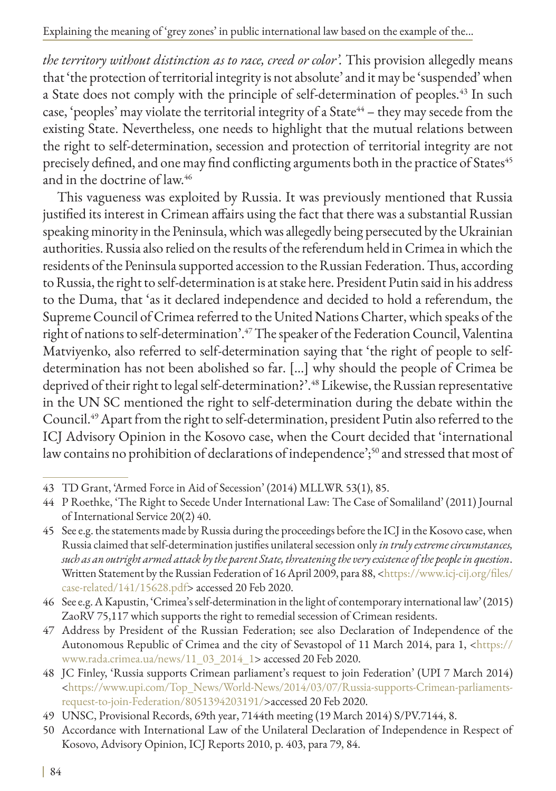*the territory without distinction as to race, creed or color'.* This provision allegedly means that 'the protection of territorial integrity is not absolute' and it may be 'suspended' when a State does not comply with the principle of self-determination of peoples.<sup>43</sup> In such case, 'peoples' may violate the territorial integrity of a State $44$  – they may secede from the existing State. Nevertheless, one needs to highlight that the mutual relations between the right to self-determination, secession and protection of territorial integrity are not precisely defined, and one may find conflicting arguments both in the practice of States<sup>45</sup> and in the doctrine of law.<sup>46</sup>

This vagueness was exploited by Russia. It was previously mentioned that Russia justified its interest in Crimean affairs using the fact that there was a substantial Russian speaking minority in the Peninsula, which was allegedly being persecuted by the Ukrainian authorities. Russia also relied on the results of the referendum held in Crimea in which the residents of the Peninsula supported accession to the Russian Federation. Thus, according to Russia, the right to self-determination is at stake here. President Putin said in his address to the Duma, that 'as it declared independence and decided to hold a referendum, the Supreme Council of Crimea referred to the United Nations Charter, which speaks of the right of nations to self-determination'.<sup>47</sup> The speaker of the Federation Council, Valentina Matviyenko, also referred to self-determination saying that 'the right of people to selfdetermination has not been abolished so far. […] why should the people of Crimea be deprived of their right to legal self-determination?'.<sup>48</sup> Likewise, the Russian representative in the UN SC mentioned the right to self-determination during the debate within the Council.49 Apart from the right to self-determination, president Putin also referred to the ICJ Advisory Opinion in the Kosovo case, when the Court decided that 'international law contains no prohibition of declarations of independence';<sup>50</sup> and stressed that most of

<sup>43</sup> TD Grant, 'Armed Force in Aid of Secession' (2014) MLLWR 53(1), 85.

<sup>44</sup> P Roethke, 'The Right to Secede Under International Law: The Case of Somaliland' (2011) Journal of International Service 20(2) 40.

<sup>45</sup> See e.g. the statements made by Russia during the proceedings before the ICJ in the Kosovo case, when Russia claimed that self-determination justifies unilateral secession only *in truly extreme circumstances, such as an outright armed attack by the parent State, threatening the very existence of the people in question*. Written Statement by the Russian Federation of 16 April 2009, para 88, [<https://www.icj-cij.org/files/](https://www.icj-cij.org/files/case-related/141/15628.pdf) [case-related/141/15628.pdf>](https://www.icj-cij.org/files/case-related/141/15628.pdf) accessed 20 Feb 2020.

<sup>46</sup> See e.g. A Kapustin, 'Crimea's self-determination in the light of contemporary international law' (2015) ZaoRV 75,117 which supports the right to remedial secession of Crimean residents.

<sup>47</sup> Address by President of the Russian Federation; see also Declaration of Independence of the Autonomous Republic of Crimea and the city of Sevastopol of 11 March 2014, para 1, <https:// www.rada.crimea.ua/news/11\_03\_2014\_1> accessed 20 Feb 2020.

<sup>48</sup> JC Finley, 'Russia supports Crimean parliament's request to join Federation' (UPI 7 March 2014) [<https://www.upi.com/Top\\_News/World-News/2014/03/07/Russia-supports-Crimean-parliaments](https://www.upi.com/Top_News/World-News/2014/03/07/Russia-supports-Crimean-parliaments-request-to-jo)[request-to-join-Federation/8051394203191/](https://www.upi.com/Top_News/World-News/2014/03/07/Russia-supports-Crimean-parliaments-request-to-jo)>accessed 20 Feb 2020.

<sup>49</sup> UNSC, Provisional Records, 69th year, 7144th meeting (19 March 2014) S/PV.7144, 8.

<sup>50</sup> Accordance with International Law of the Unilateral Declaration of Independence in Respect of Kosovo, Advisory Opinion, ICJ Reports 2010, p. 403, para 79, 84.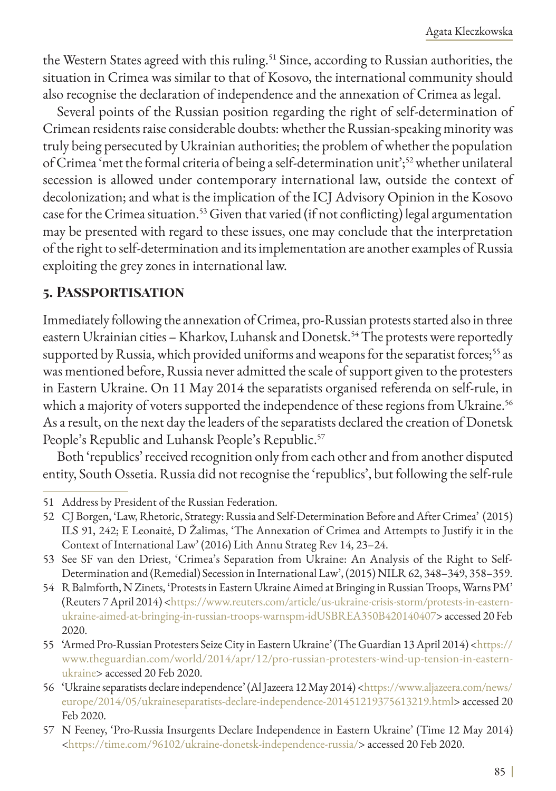the Western States agreed with this ruling.<sup>51</sup> Since, according to Russian authorities, the situation in Crimea was similar to that of Kosovo, the international community should also recognise the declaration of independence and the annexation of Crimea as legal.

Several points of the Russian position regarding the right of self-determination of Crimean residents raise considerable doubts: whether the Russian-speaking minority was truly being persecuted by Ukrainian authorities; the problem of whether the population of Crimea 'met the formal criteria of being a self-determination unit';<sup>52</sup> whether unilateral secession is allowed under contemporary international law, outside the context of decolonization; and what is the implication of the ICJ Advisory Opinion in the Kosovo case for the Crimea situation.<sup>53</sup> Given that varied (if not conflicting) legal argumentation may be presented with regard to these issues, one may conclude that the interpretation of the right to self-determination and its implementation are another examples of Russia exploiting the grey zones in international law.

### **5. Passportisation**

Immediately following the annexation of Crimea, pro-Russian protests started also in three eastern Ukrainian cities – Kharkov, Luhansk and Donetsk.54 The protests were reportedly supported by Russia, which provided uniforms and weapons for the separatist forces;<sup>55</sup> as was mentioned before, Russia never admitted the scale of support given to the protesters in Eastern Ukraine. On 11 May 2014 the separatists organised referenda on self-rule, in which a majority of voters supported the independence of these regions from Ukraine.<sup>56</sup> As a result, on the next day the leaders of the separatists declared the creation of Donetsk People's Republic and Luhansk People's Republic.<sup>57</sup>

Both 'republics' received recognition only from each other and from another disputed entity, South Ossetia. Russia did not recognise the 'republics', but following the self-rule

<sup>51</sup> Address by President of the Russian Federation.

<sup>52</sup> CJ Borgen, 'Law, Rhetoric, Strategy: Russia and Self-Determination Before and After Crimea' (2015) ILS 91, 242; E Leonaitė, D Žalimas, 'The Annexation of Crimea and Attempts to Justify it in the Context of International Law' (2016) Lith Annu Strateg Rev 14, 23–24.

<sup>53</sup> See SF van den Driest, 'Crimea's Separation from Ukraine: An Analysis of the Right to Self-Determination and (Remedial) Secession in International Law', (2015) NILR 62, 348–349, 358–359.

<sup>54</sup> R Balmforth, N Zinets, 'Protests in Eastern Ukraine Aimed at Bringing in Russian Troops, Warns PM' (Reuters 7 April 2014) <[https://www.reuters.com/article/us-ukraine-crisis-storm/protests-in-eastern](https://www.reuters.com/article/us-ukraine-crisis-storm/protests-in-eastern-ukraine-aimed-at-bringin)[ukraine-aimed-at-bringing-in-russian-troops-warnspm-idUSBREA350B420140407](https://www.reuters.com/article/us-ukraine-crisis-storm/protests-in-eastern-ukraine-aimed-at-bringin)> accessed 20 Feb 2020.

<sup>55</sup> 'Armed Pro-Russian Protesters Seize City in Eastern Ukraine' (The Guardian 13 April 2014) <[https://](https://www.theguardian.com/world/2014/apr/12/pro-russian-protesters-wind-up-tension-in-eastern-ukra) [www.theguardian.com/world/2014/apr/12/pro-russian-protesters-wind-up-tension-in-eastern](https://www.theguardian.com/world/2014/apr/12/pro-russian-protesters-wind-up-tension-in-eastern-ukra)[ukraine>](https://www.theguardian.com/world/2014/apr/12/pro-russian-protesters-wind-up-tension-in-eastern-ukra) accessed 20 Feb 2020.

<sup>56</sup> 'Ukraine separatists declare independence' (Al Jazeera 12 May 2014) <[https://www.aljazeera.com/news/](https://www.aljazeera.com/news/europe/2014/05/ukraineseparatists-declare-independence-20145121937561) [europe/2014/05/ukraineseparatists-declare-independence-201451219375613219.html>](https://www.aljazeera.com/news/europe/2014/05/ukraineseparatists-declare-independence-20145121937561) accessed 20 Feb 2020.

<sup>57</sup> N Feeney, 'Pro-Russia Insurgents Declare Independence in Eastern Ukraine' (Time 12 May 2014) <[https://time.com/96102/ukraine-donetsk-independence-russia/>](https://time.com/96102/ukraine-donetsk-independence-russia/) accessed 20 Feb 2020.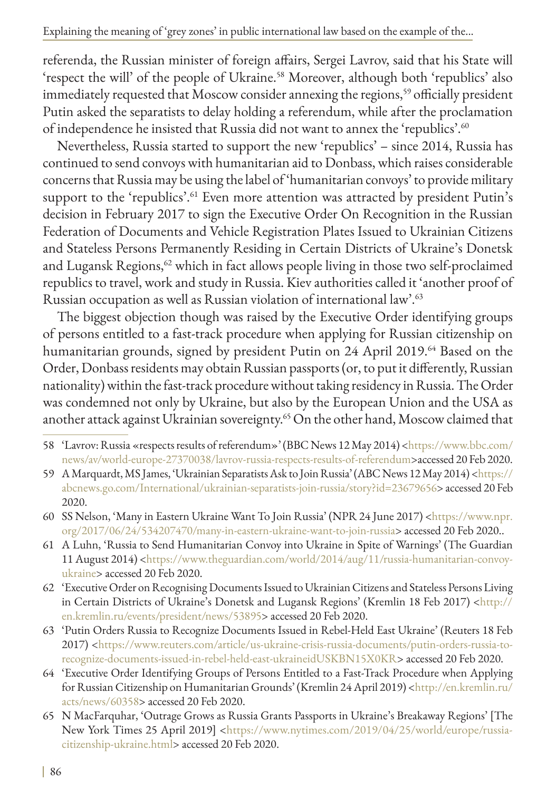referenda, the Russian minister of foreign affairs, Sergei Lavrov, said that his State will 'respect the will' of the people of Ukraine.<sup>58</sup> Moreover, although both 'republics' also immediately requested that Moscow consider annexing the regions,<sup>59</sup> officially president Putin asked the separatists to delay holding a referendum, while after the proclamation of independence he insisted that Russia did not want to annex the 'republics'.<sup>60</sup>

Nevertheless, Russia started to support the new 'republics' – since 2014, Russia has continued to send convoys with humanitarian aid to Donbass, which raises considerable concerns that Russia may be using the label of 'humanitarian convoys' to provide military support to the 'republics'.<sup>61</sup> Even more attention was attracted by president Putin's decision in February 2017 to sign the Executive Order On Recognition in the Russian Federation of Documents and Vehicle Registration Plates Issued to Ukrainian Citizens and Stateless Persons Permanently Residing in Certain Districts of Ukraine's Donetsk and Lugansk Regions,<sup>62</sup> which in fact allows people living in those two self-proclaimed republics to travel, work and study in Russia. Kiev authorities called it 'another proof of Russian occupation as well as Russian violation of international law'.63

The biggest objection though was raised by the Executive Order identifying groups of persons entitled to a fast-track procedure when applying for Russian citizenship on humanitarian grounds, signed by president Putin on 24 April 2019.<sup>64</sup> Based on the Order, Donbass residents may obtain Russian passports (or, to put it differently, Russian nationality) within the fast-track procedure without taking residency in Russia. The Order was condemned not only by Ukraine, but also by the European Union and the USA as another attack against Ukrainian sovereignty.65 On the other hand, Moscow claimed that

<sup>58</sup> 'Lavrov: Russia «respects results of referendum»' (BBC News 12 May 2014) <[https://www.bbc.com/](https://www.bbc.com/news/av/world-europe-27370038/lavrov-russia-respects-results-of-referendum) [news/av/world-europe-27370038/lavrov-russia-respects-results-of-referendum>](https://www.bbc.com/news/av/world-europe-27370038/lavrov-russia-respects-results-of-referendum)accessed 20 Feb 2020.

<sup>59</sup> A Marquardt, MS James, 'Ukrainian Separatists Ask to Join Russia' (ABC News 12 May 2014) [<https://](https://abcnews.go.com/International/ukrainian-separatists-join-russia/story?id=23679656) [abcnews.go.com/International/ukrainian-separatists-join-russia/story?id=23679656>](https://abcnews.go.com/International/ukrainian-separatists-join-russia/story?id=23679656) accessed 20 Feb 2020.

<sup>60</sup> SS Nelson, 'Many in Eastern Ukraine Want To Join Russia' (NPR 24 June 2017) <[https://www.npr.](https://www.npr.org/2017/06/24/534207470/many-in-eastern-ukraine-want-to-join-russia) [org/2017/06/24/534207470/many-in-eastern-ukraine-want-to-join-russia](https://www.npr.org/2017/06/24/534207470/many-in-eastern-ukraine-want-to-join-russia)> accessed 20 Feb 2020..

<sup>61</sup> A Luhn, 'Russia to Send Humanitarian Convoy into Ukraine in Spite of Warnings' (The Guardian 11 August 2014) [<https://www.theguardian.com/world/2014/aug/11/russia-humanitarian-convoy](https://www.theguardian.com/world/2014/aug/11/russia-humanitarian-convoy-ukraine)[ukraine>](https://www.theguardian.com/world/2014/aug/11/russia-humanitarian-convoy-ukraine) accessed 20 Feb 2020.

<sup>62</sup> 'Executive Order on Recognising Documents Issued to Ukrainian Citizens and Stateless Persons Living in Certain Districts of Ukraine's Donetsk and Lugansk Regions' (Kremlin 18 Feb 2017) [<http://](http://en.kremlin.ru/events/president/news/53895) [en.kremlin.ru/events/president/news/53895](http://en.kremlin.ru/events/president/news/53895)> accessed 20 Feb 2020.

<sup>63</sup> 'Putin Orders Russia to Recognize Documents Issued in Rebel-Held East Ukraine' (Reuters 18 Feb 2017) <[https://www.reuters.com/article/us-ukraine-crisis-russia-documents/putin-orders-russia-to](https://www.reuters.com/article/us-ukraine-crisis-russia-documents/putin-orders-russia-to-recognize-)[recognize-documents-issued-in-rebel-held-east-ukraineidUSKBN15X0KR](https://www.reuters.com/article/us-ukraine-crisis-russia-documents/putin-orders-russia-to-recognize-)> accessed 20 Feb 2020.

<sup>64</sup> 'Executive Order Identifying Groups of Persons Entitled to a Fast-Track Procedure when Applying for Russian Citizenship on Humanitarian Grounds' (Kremlin 24 April 2019) [<http://en.kremlin.ru/](http://en.kremlin.ru/acts/news/60358) [acts/news/60358>](http://en.kremlin.ru/acts/news/60358) accessed 20 Feb 2020.

<sup>65</sup> N MacFarquhar, 'Outrage Grows as Russia Grants Passports in Ukraine's Breakaway Regions' [The New York Times 25 April 2019] <[https://www.nytimes.com/2019/04/25/world/europe/russia](https://www.nytimes.com/2019/04/25/world/europe/russia-citizenship-ukraine.html)[citizenship-ukraine.html>](https://www.nytimes.com/2019/04/25/world/europe/russia-citizenship-ukraine.html) accessed 20 Feb 2020.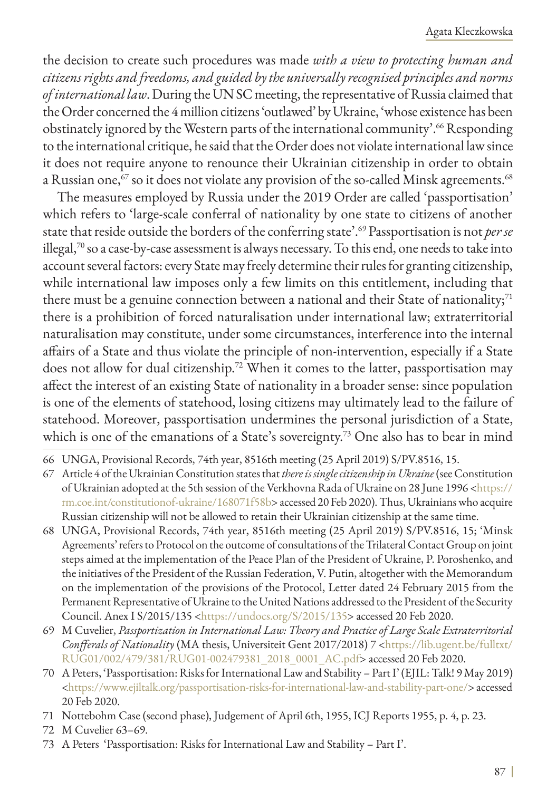the decision to create such procedures was made *with a view to protecting human and citizens rights and freedoms, and guided by the universally recognised principles and norms of international law*. During the UN SC meeting, the representative of Russia claimed that the Order concerned the 4 million citizens 'outlawed' by Ukraine, 'whose existence has been obstinately ignored by the Western parts of the international community'.<sup>66</sup> Responding to the international critique, he said that the Order does not violate international law since it does not require anyone to renounce their Ukrainian citizenship in order to obtain a Russian one, $67$  so it does not violate any provision of the so-called Minsk agreements.<sup>68</sup>

The measures employed by Russia under the 2019 Order are called 'passportisation' which refers to 'large-scale conferral of nationality by one state to citizens of another state that reside outside the borders of the conferring state'.69 Passportisation is not *per se* illegal,<sup>70</sup> so a case-by-case assessment is always necessary. To this end, one needs to take into account several factors: every State may freely determine their rules for granting citizenship, while international law imposes only a few limits on this entitlement, including that there must be a genuine connection between a national and their State of nationality;<sup>71</sup> there is a prohibition of forced naturalisation under international law; extraterritorial naturalisation may constitute, under some circumstances, interference into the internal affairs of a State and thus violate the principle of non-intervention, especially if a State does not allow for dual citizenship.<sup>72</sup> When it comes to the latter, passportisation may affect the interest of an existing State of nationality in a broader sense: since population is one of the elements of statehood, losing citizens may ultimately lead to the failure of statehood. Moreover, passportisation undermines the personal jurisdiction of a State, which is one of the emanations of a State's sovereignty.<sup>73</sup> One also has to bear in mind

- 66 UNGA, Provisional Records, 74th year, 8516th meeting (25 April 2019) S/PV.8516, 15.
- 67 Article 4 of the Ukrainian Constitution states that *there is single citizenship in Ukraine* (see Constitution of Ukrainian adopted at the 5th session of the Verkhovna Rada of Ukraine on 28 June 1996 [<https://](https://rm.coe.int/constitutionof-ukraine/168071f58b) [rm.coe.int/constitutionof-ukraine/168071f58b](https://rm.coe.int/constitutionof-ukraine/168071f58b)> accessed 20 Feb 2020). Thus, Ukrainians who acquire Russian citizenship will not be allowed to retain their Ukrainian citizenship at the same time.
- 68 UNGA, Provisional Records, 74th year, 8516th meeting (25 April 2019) S/PV.8516, 15; 'Minsk Agreements' refers to Protocol on the outcome of consultations of the Trilateral Contact Group on joint steps aimed at the implementation of the Peace Plan of the President of Ukraine, P. Poroshenko, and the initiatives of the President of the Russian Federation, V. Putin, altogether with the Memorandum on the implementation of the provisions of the Protocol, Letter dated 24 February 2015 from the Permanent Representative of Ukraine to the United Nations addressed to the President of the Security Council. Anex I S/2015/135 [<https://undocs.org/S/2015/135](https://undocs.org/S/2015/135)> accessed 20 Feb 2020.
- 69 M Cuvelier, *Passportization in International Law: Theory and Practice of Large Scale Extraterritorial Confferals of Nationality* (MA thesis, Universiteit Gent 2017/2018) 7 [<https://lib.ugent.be/fulltxt/](https://lib.ugent.be/fulltxt/RUG01/002/479/381/RUG01-002479381_2018_0001_AC.pdf) [RUG01/002/479/381/RUG01-002479381\\_2018\\_0001\\_AC.pdf>](https://lib.ugent.be/fulltxt/RUG01/002/479/381/RUG01-002479381_2018_0001_AC.pdf) accessed 20 Feb 2020.
- 70 A Peters, 'Passportisation: Risks for International Law and Stability Part I' (EJIL: Talk! 9 May 2019) <[https://www.ejiltalk.org/passportisation-risks-for-international-law-and-stability-part-one/>](https://www.ejiltalk.org/passportisation-risks-for-international-law-and-stability-part-one/) accessed 20 Feb 2020.
- 71 Nottebohm Case (second phase), Judgement of April 6th, 1955, ICJ Reports 1955, p. 4, p. 23.
- 72 M Cuvelier 63–69.
- 73 A Peters 'Passportisation: Risks for International Law and Stability Part I'.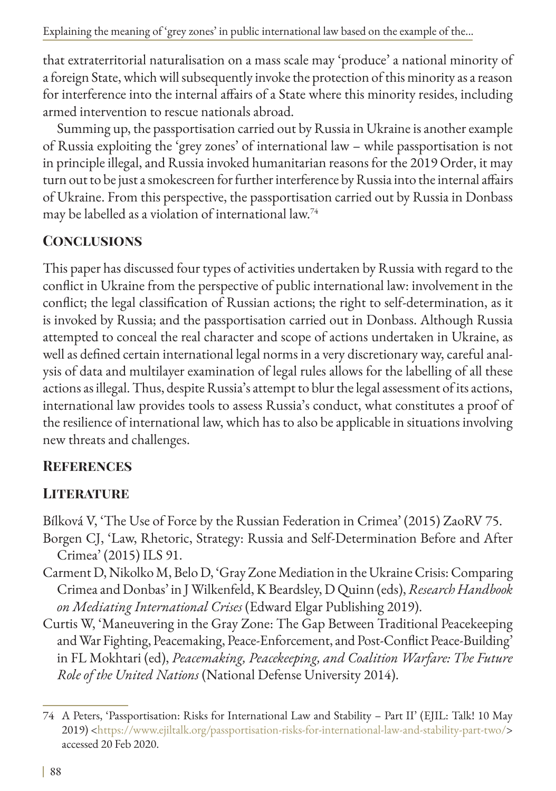that extraterritorial naturalisation on a mass scale may 'produce' a national minority of a foreign State, which will subsequently invoke the protection of this minority as a reason for interference into the internal affairs of a State where this minority resides, including armed intervention to rescue nationals abroad.

Summing up, the passportisation carried out by Russia in Ukraine is another example of Russia exploiting the 'grey zones' of international law – while passportisation is not in principle illegal, and Russia invoked humanitarian reasons for the 2019 Order, it may turn out to be just a smokescreen for further interference by Russia into the internal affairs of Ukraine. From this perspective, the passportisation carried out by Russia in Donbass may be labelled as a violation of international law.74

# **Conclusions**

This paper has discussed four types of activities undertaken by Russia with regard to the conflict in Ukraine from the perspective of public international law: involvement in the conflict; the legal classification of Russian actions; the right to self-determination, as it is invoked by Russia; and the passportisation carried out in Donbass. Although Russia attempted to conceal the real character and scope of actions undertaken in Ukraine, as well as defined certain international legal norms in a very discretionary way, careful analysis of data and multilayer examination of legal rules allows for the labelling of all these actions as illegal. Thus, despite Russia's attempt to blur the legal assessment of its actions, international law provides tools to assess Russia's conduct, what constitutes a proof of the resilience of international law, which has to also be applicable in situations involving new threats and challenges.

# **References**

# **LITERATURE**

Bílková V, 'The Use of Force by the Russian Federation in Crimea' (2015) ZaoRV 75.

- Borgen CJ, 'Law, Rhetoric, Strategy: Russia and Self-Determination Before and After Crimea' (2015) ILS 91.
- Carment D, Nikolko M, Belo D, 'Gray Zone Mediation in the Ukraine Crisis: Comparing Crimea and Donbas' in J Wilkenfeld, K Beardsley, D Quinn (eds), *Research Handbook on Mediating International Crises* (Edward Elgar Publishing 2019).
- Curtis W, 'Maneuvering in the Gray Zone: The Gap Between Traditional Peacekeeping and War Fighting, Peacemaking, Peace-Enforcement, and Post-Conflict Peace-Building' in FL Mokhtari (ed), *Peacemaking, Peacekeeping, and Coalition Warfare: The Future Role of the United Nations* (National Defense University 2014).

<sup>74</sup> A Peters, 'Passportisation: Risks for International Law and Stability – Part II' (EJIL: Talk! 10 May 2019) [<https://www.ejiltalk.org/passportisation-risks-for-international-law-and-stability-part-two/](https://www.ejiltalk.org/passportisation-risks-for-international-law-and-stability-part-two/)> accessed 20 Feb 2020.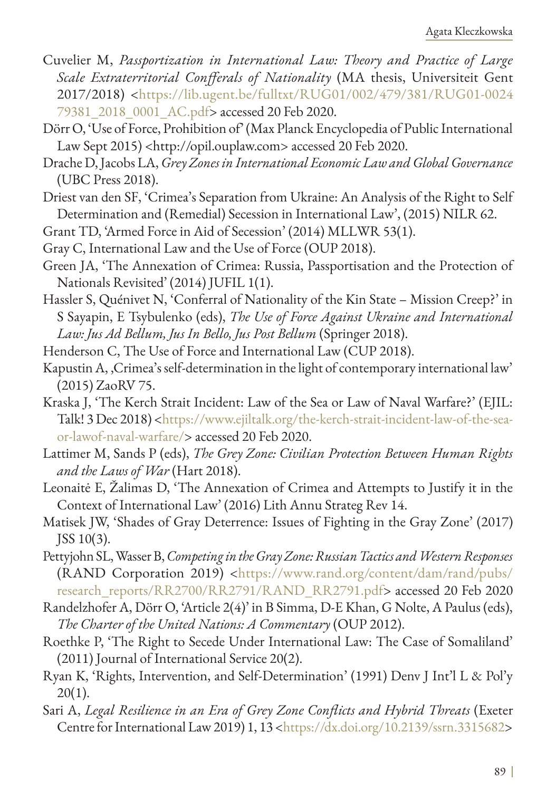- Cuvelier M, *Passportization in International Law: Theory and Practice of Large Scale Extraterritorial Confferals of Nationality* (MA thesis, Universiteit Gent 2017/2018) <https://lib.ugent.be/fulltxt/RUG01/002/479/381/RUG01-0024 79381 2018 0001 AC.pdf> accessed 20 Feb 2020.
- Dörr O, 'Use of Force, Prohibition of' (Max Planck Encyclopedia of Public International Law Sept 2015) <http://opil.ouplaw.com> accessed 20 Feb 2020.
- Drache D, Jacobs LA, *Grey Zones in International Economic Law and Global Governance* (UBC Press 2018).
- Driest van den SF, 'Crimea's Separation from Ukraine: An Analysis of the Right to Self Determination and (Remedial) Secession in International Law', (2015) NILR 62.
- Grant TD, 'Armed Force in Aid of Secession' (2014) MLLWR 53(1).
- Gray C, International Law and the Use of Force (OUP 2018).
- Green JA, 'The Annexation of Crimea: Russia, Passportisation and the Protection of Nationals Revisited' (2014) JUFIL 1(1).
- Hassler S, Quénivet N, 'Conferral of Nationality of the Kin State Mission Creep?' in S Sayapin, E Tsybulenko (eds), *The Use of Force Against Ukraine and International Law: Jus Ad Bellum, Jus In Bello, Jus Post Bellum* (Springer 2018).
- Henderson C, The Use of Force and International Law (CUP 2018).
- Kapustin A, , Crimea's self-determination in the light of contemporary international law' (2015) ZaoRV 75.
- Kraska J, 'The Kerch Strait Incident: Law of the Sea or Law of Naval Warfare?' (EJIL: Talk! 3 Dec 2018) <https://www.ejiltalk.org/the-kerch-strait-incident-law-of-the-seaor-lawof-naval-warfare/> accessed 20 Feb 2020.
- Lattimer M, Sands P (eds), *The Grey Zone: Civilian Protection Between Human Rights and the Laws of War* (Hart 2018).
- Leonaitė E, Žalimas D, 'The Annexation of Crimea and Attempts to Justify it in the Context of International Law' (2016) Lith Annu Strateg Rev 14.
- Matisek JW, 'Shades of Gray Deterrence: Issues of Fighting in the Gray Zone' (2017) JSS 10(3).
- Pettyjohn SL, Wasser B, *Competing in the Gray Zone: Russian Tactics and Western Responses* (RAND Corporation 2019) <https://www.rand.org/content/dam/rand/pubs/ research\_reports/RR2700/RR2791/RAND\_RR2791.pdf> accessed 20 Feb 2020
- Randelzhofer A, Dörr O, 'Article 2(4)' in B Simma, D-E Khan, G Nolte, A Paulus (eds), *The Charter of the United Nations: A Commentary* (OUP 2012).
- Roethke P, 'The Right to Secede Under International Law: The Case of Somaliland' (2011) Journal of International Service 20(2).
- Ryan K, 'Rights, Intervention, and Self-Determination' (1991) Denv J Int'l L & Pol'y  $20(1)$ .
- Sari A, *Legal Resilience in an Era of Grey Zone Conflicts and Hybrid Threats* (Exeter Centre for International Law 2019) 1, 13 <https://dx.doi.org/10.2139/ssrn.3315682>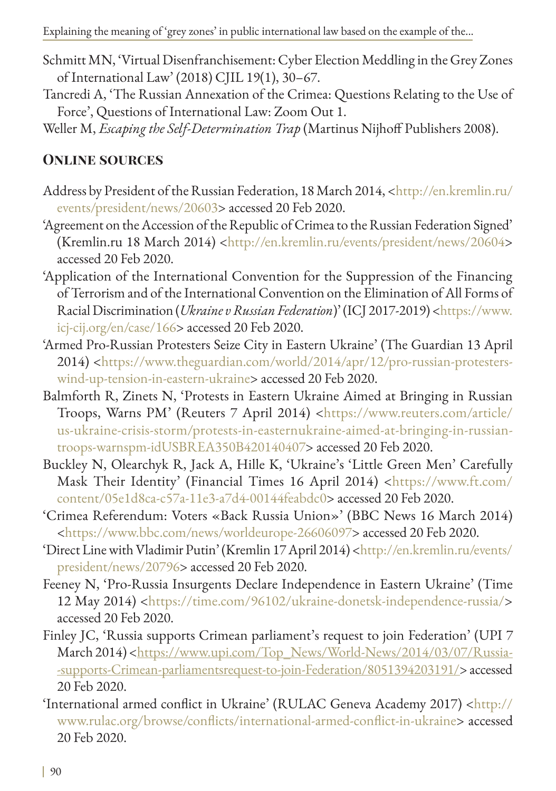- Schmitt MN, 'Virtual Disenfranchisement: Cyber Election Meddling in the Grey Zones of International Law' (2018) CJIL 19(1), 30–67.
- Tancredi A, 'The Russian Annexation of the Crimea: Questions Relating to the Use of Force', Questions of International Law: Zoom Out 1.
- Weller M, *Escaping the Self-Determination Trap* (Martinus Nijhoff Publishers 2008).

# **Online sources**

- Address by President of the Russian Federation, 18 March 2014, <http://en.kremlin.ru/ events/president/news/20603> accessed 20 Feb 2020.
- 'Agreement on the Accession of the Republic of Crimea to the Russian Federation Signed' (Kremlin.ru 18 March 2014) <http://en.kremlin.ru/events/president/news/20604> accessed 20 Feb 2020.
- 'Application of the International Convention for the Suppression of the Financing of Terrorism and of the International Convention on the Elimination of All Forms of Racial Discrimination (*Ukraine v Russian Federation*)' (ICJ 2017-2019) <https://www. icj-cij.org/en/case/166> accessed 20 Feb 2020.
- 'Armed Pro-Russian Protesters Seize City in Eastern Ukraine' (The Guardian 13 April 2014) [<https://www.theguardian.com/world/2014/apr/12/pro-russian-protesters](https://www.theguardian.com/world/2014/apr/12/pro-russian-protesters-wind-up-tension-in-eastern-ukraine)[wind-up-tension-in-eastern-ukraine>](https://www.theguardian.com/world/2014/apr/12/pro-russian-protesters-wind-up-tension-in-eastern-ukraine) accessed 20 Feb 2020.
- Balmforth R, Zinets N, 'Protests in Eastern Ukraine Aimed at Bringing in Russian Troops, Warns PM' (Reuters 7 April 2014) <https://www.reuters.com/article/ us-ukraine-crisis-storm/protests-in-easternukraine-aimed-at-bringing-in-russiantroops-warnspm-idUSBREA350B420140407> accessed 20 Feb 2020.
- Buckley N, Olearchyk R, Jack A, Hille K, 'Ukraine's 'Little Green Men' Carefully Mask Their Identity' (Financial Times 16 April 2014) <https://www.ft.com/ content/05e1d8ca-c57a-11e3-a7d4-00144feabdc0> accessed 20 Feb 2020.
- 'Crimea Referendum: Voters «Back Russia Union»' (BBC News 16 March 2014) <https://www.bbc.com/news/worldeurope‐26606097> accessed 20 Feb 2020.
- 'Direct Line with Vladimir Putin' (Kremlin 17 April 2014) <http://en.kremlin.ru/events/ president/news/20796> accessed 20 Feb 2020.
- Feeney N, 'Pro-Russia Insurgents Declare Independence in Eastern Ukraine' (Time 12 May 2014) <https://time.com/96102/ukraine-donetsk-independence-russia/> accessed 20 Feb 2020.
- Finley JC, 'Russia supports Crimean parliament's request to join Federation' (UPI 7 March 2014) [<https://www.upi.com/Top\\_News/World-News/2014/03/07/Russia-](https://www.upi.com/Top_News/World-News/2014/03/07/Russia-supports-Crimean-parliamentsrequest-to-join-Federation/8051394203191/) [-supports-Crimean-parliamentsrequest-to-join-Federation/8051394203191/>](https://www.upi.com/Top_News/World-News/2014/03/07/Russia-supports-Crimean-parliamentsrequest-to-join-Federation/8051394203191/) accessed 20 Feb 2020.
- 'International armed conflict in Ukraine' (RULAC Geneva Academy 2017) <http:// www.rulac.org/browse/conflicts/international-armed-conflict-in-ukraine> accessed 20 Feb 2020.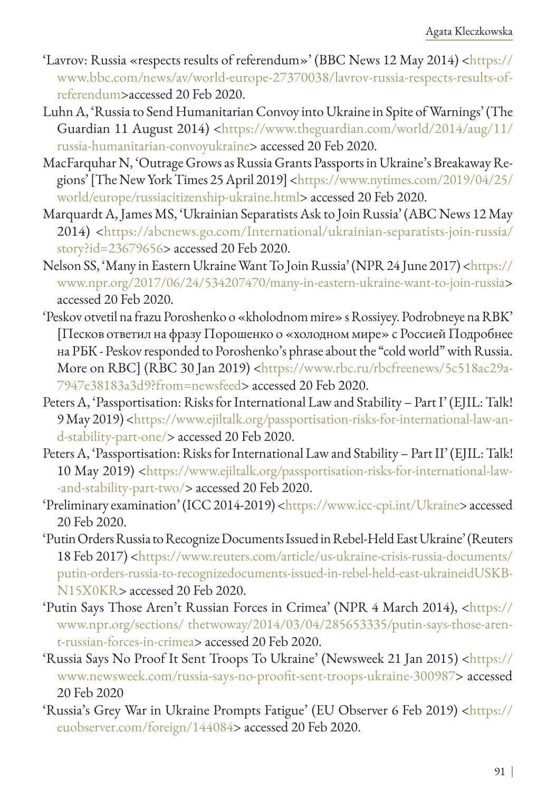- 'Lavrov: Russia «respects results of referendum»' (BBC News 12 May 2014) <https:// www.bbc.com/news/av/world-europe-27370038/lavrov-russia-respects-results-ofreferendum>accessed 20 Feb 2020.
- Luhn A, 'Russia to Send Humanitarian Convoy into Ukraine in Spite of Warnings' (The Guardian 11 August 2014) <https://www.theguardian.com/world/2014/aug/11/ russia-humanitarian-convoyukraine> accessed 20 Feb 2020.
- MacFarquhar N, 'Outrage Grows as Russia Grants Passports in Ukraine's Breakaway Regions' [The New York Times 25 April 2019] <https://www.nytimes.com/2019/04/25/ world/europe/russiacitizenship-ukraine.html> accessed 20 Feb 2020.
- Marquardt A, James MS, 'Ukrainian Separatists Ask to Join Russia' (ABC News 12 May 2014) <https://abcnews.go.com/International/ukrainian-separatists-join-russia/ story?id=23679656> accessed 20 Feb 2020.
- Nelson SS, 'Many in Eastern Ukraine Want To Join Russia' (NPR 24 June 2017) <https:// www.npr.org/2017/06/24/534207470/many-in-eastern-ukraine-want-to-join-russia> accessed 20 Feb 2020.
- 'Peskov otvetil na frazu Poroshenko o «kholodnom mire» s Rossiyey. Podrobneye na RBK' [Песков ответил на фразу Порошенко о «холодном мире» с Россией Подробнее на РБК - Peskov responded to Poroshenko's phrase about the "cold world" with Russia. More on RBC] (RBC 30 Jan 2019) <https://www.rbc.ru/rbcfreenews/5c518ac29a-7947e38183a3d9?from=newsfeed> accessed 20 Feb 2020.
- Peters A, 'Passportisation: Risks for International Law and Stability Part I' (EJIL: Talk! 9 May 2019) <https://www.ejiltalk.org/passportisation-risks-for-international-law-and-stability-part-one/> accessed 20 Feb 2020.
- Peters A, 'Passportisation: Risks for International Law and Stability Part II' (EJIL: Talk! 10 May 2019) <https://www.ejiltalk.org/passportisation-risks-for-international-law- -and-stability-part-two/> accessed 20 Feb 2020.
- 'Preliminary examination' (ICC 2014-2019) <https://www.icc-cpi.int/Ukraine> accessed 20 Feb 2020.
- 'Putin Orders Russia to Recognize Documents Issued in Rebel-Held East Ukraine' (Reuters 18 Feb 2017) <https://www.reuters.com/article/us-ukraine-crisis-russia-documents/ putin-orders-russia-to-recognizedocuments-issued-in-rebel-held-east-ukraineidUSKB-N15X0KR> accessed 20 Feb 2020.
- 'Putin Says Those Aren't Russian Forces in Crimea' (NPR 4 March 2014), <https:// www.npr.org/sections/ thetwoway/2014/03/04/285653335/putin-says-those-arent-russian-forces-in-crimea> accessed 20 Feb 2020.
- 'Russia Says No Proof It Sent Troops To Ukraine' (Newsweek 21 Jan 2015) <https:// www.newsweek.com/russia-says-no-proofit-sent-troops-ukraine-300987> accessed 20 Feb 2020
- 'Russia's Grey War in Ukraine Prompts Fatigue' (EU Observer 6 Feb 2019) [<https://](mailto:https://euobserver.com/foreign/144084?subject=) [euobserver.com/foreign/144084](mailto:https://euobserver.com/foreign/144084?subject=)> accessed 20 Feb 2020.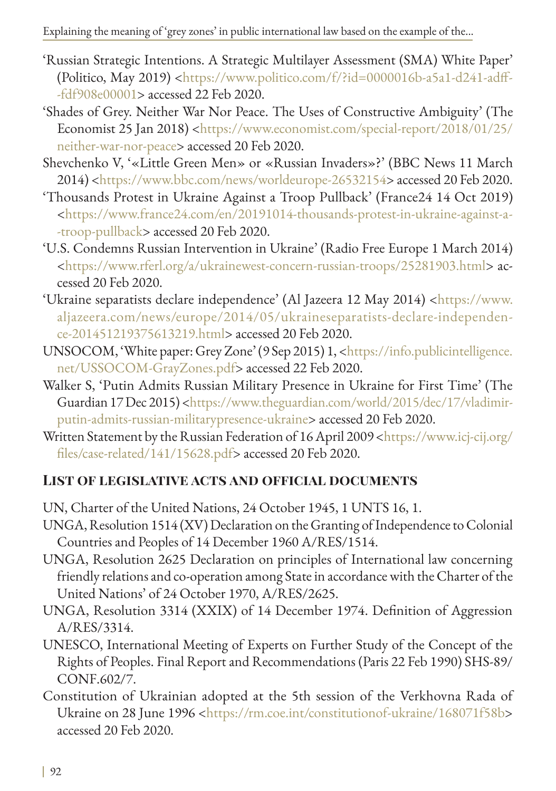- 'Russian Strategic Intentions. A Strategic Multilayer Assessment (SMA) White Paper' (Politico, May 2019) <https://www.politico.com/f/?id=0000016b-a5a1-d241-adff- -fdf908e00001> accessed 22 Feb 2020.
- 'Shades of Grey. Neither War Nor Peace. The Uses of Constructive Ambiguity' (The Economist 25 Jan 2018) [<https://www.economist.com/special-report/2018/01/25/](https://www.economist.com/special-report/2018/01/25/neither-war-nor-peace) [neither-war-nor-peace>](https://www.economist.com/special-report/2018/01/25/neither-war-nor-peace) accessed 20 Feb 2020.
- Shevchenko V, '«Little Green Men» or «Russian Invaders»?' (BBC News 11 March 2014) <https://www.bbc.com/news/worldeurope-26532154> accessed 20 Feb 2020.
- 'Thousands Protest in Ukraine Against a Troop Pullback' (France24 14 Oct 2019) <https://www.france24.com/en/20191014-thousands-protest-in-ukraine-against-a- -troop-pullback> accessed 20 Feb 2020.
- 'U.S. Condemns Russian Intervention in Ukraine' (Radio Free Europe 1 March 2014) <https://www.rferl.org/a/ukrainewest-concern-russian-troops/25281903.html> accessed 20 Feb 2020.
- 'Ukraine separatists declare independence' (Al Jazeera 12 May 2014) <https://www. aljazeera.com/news/europe/2014/05/ukraineseparatists-declare-independence-201451219375613219.html> accessed 20 Feb 2020.
- UNSOCOM, 'White paper: Grey Zone' (9 Sep 2015) 1, <https://info.publicintelligence. net/USSOCOM-GrayZones.pdf> accessed 22 Feb 2020.
- Walker S, 'Putin Admits Russian Military Presence in Ukraine for First Time' (The Guardian 17 Dec 2015) <https://www.theguardian.com/world/2015/dec/17/vladimirputin-admits-russian-militarypresence-ukraine> accessed 20 Feb 2020.
- Written Statement by the Russian Federation of 16 April 2009 <https://www.icj-cij.org/ files/case-related/141/15628.pdf> accessed 20 Feb 2020.

# **List of legislative acts and official documents**

UN, Charter of the United Nations, 24 October 1945, 1 UNTS 16, 1.

- UNGA, Resolution 1514 (XV) Declaration on the Granting of Independence to Colonial Countries and Peoples of 14 December 1960 A/RES/1514.
- UNGA, Resolution 2625 Declaration on principles of International law concerning friendly relations and co-operation among State in accordance with the Charter of the United Nations' of 24 October 1970, A/RES/2625.
- UNGA, Resolution 3314 (XXIX) of 14 December 1974. Definition of Aggression A/RES/3314.
- UNESCO, International Meeting of Experts on Further Study of the Concept of the Rights of Peoples. Final Report and Recommendations (Paris 22 Feb 1990) SHS-89/ CONF.602/7.
- Constitution of Ukrainian adopted at the 5th session of the Verkhovna Rada of Ukraine on 28 June 1996 <https://rm.coe.int/constitutionof-ukraine/168071f58b> accessed 20 Feb 2020.